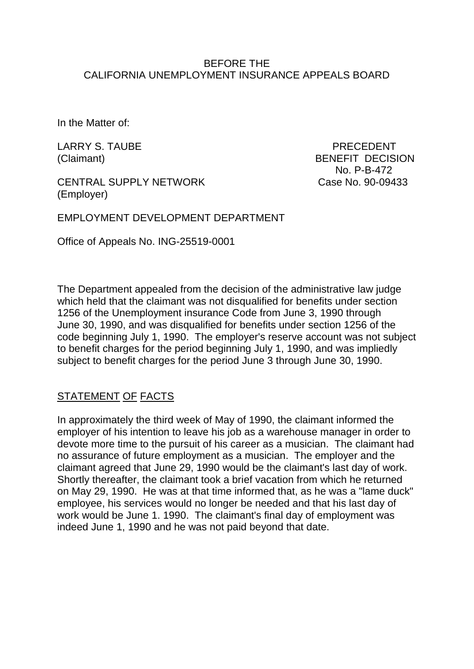#### BEFORE THE CALIFORNIA UNEMPLOYMENT INSURANCE APPEALS BOARD

In the Matter of:

LARRY S. TAUBE PRECEDENT

(Claimant) BENEFIT DECISION No. P-B-472

CENTRAL SUPPLY NETWORK Case No. 90-09433 (Employer)

EMPLOYMENT DEVELOPMENT DEPARTMENT

Office of Appeals No. ING-25519-0001

The Department appealed from the decision of the administrative law judge which held that the claimant was not disqualified for benefits under section 1256 of the Unemployment insurance Code from June 3, 1990 through June 30, 1990, and was disqualified for benefits under section 1256 of the code beginning July 1, 1990. The employer's reserve account was not subject to benefit charges for the period beginning July 1, 1990, and was impliedly subject to benefit charges for the period June 3 through June 30, 1990.

## STATEMENT OF FACTS

In approximately the third week of May of 1990, the claimant informed the employer of his intention to leave his job as a warehouse manager in order to devote more time to the pursuit of his career as a musician. The claimant had no assurance of future employment as a musician. The employer and the claimant agreed that June 29, 1990 would be the claimant's last day of work. Shortly thereafter, the claimant took a brief vacation from which he returned on May 29, 1990. He was at that time informed that, as he was a "lame duck" employee, his services would no longer be needed and that his last day of work would be June 1. 1990. The claimant's final day of employment was indeed June 1, 1990 and he was not paid beyond that date.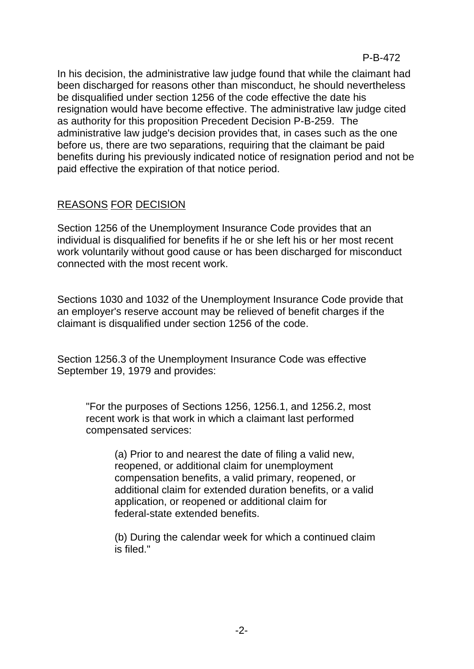In his decision, the administrative law judge found that while the claimant had been discharged for reasons other than misconduct, he should nevertheless be disqualified under section 1256 of the code effective the date his resignation would have become effective. The administrative law judge cited as authority for this proposition Precedent Decision P-B-259. The administrative law judge's decision provides that, in cases such as the one before us, there are two separations, requiring that the claimant be paid benefits during his previously indicated notice of resignation period and not be paid effective the expiration of that notice period.

# REASONS FOR DECISION

Section 1256 of the Unemployment Insurance Code provides that an individual is disqualified for benefits if he or she left his or her most recent work voluntarily without good cause or has been discharged for misconduct connected with the most recent work.

Sections 1030 and 1032 of the Unemployment Insurance Code provide that an employer's reserve account may be relieved of benefit charges if the claimant is disqualified under section 1256 of the code.

Section 1256.3 of the Unemployment Insurance Code was effective September 19, 1979 and provides:

"For the purposes of Sections 1256, 1256.1, and 1256.2, most recent work is that work in which a claimant last performed compensated services:

(a) Prior to and nearest the date of filing a valid new, reopened, or additional claim for unemployment compensation benefits, a valid primary, reopened, or additional claim for extended duration benefits, or a valid application, or reopened or additional claim for federal-state extended benefits.

(b) During the calendar week for which a continued claim is filed."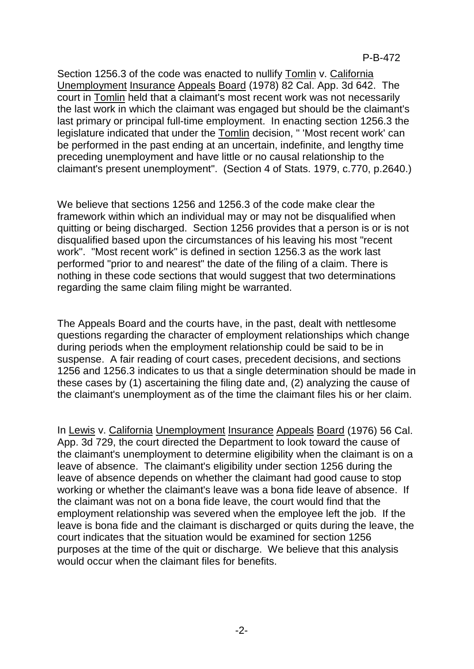P-B-472

Section 1256.3 of the code was enacted to nullify Tomlin v. California Unemployment Insurance Appeals Board (1978) 82 Cal. App. 3d 642. The court in Tomlin held that a claimant's most recent work was not necessarily the last work in which the claimant was engaged but should be the claimant's last primary or principal full-time employment. In enacting section 1256.3 the legislature indicated that under the Tomlin decision, " 'Most recent work' can be performed in the past ending at an uncertain, indefinite, and lengthy time preceding unemployment and have little or no causal relationship to the claimant's present unemployment". (Section 4 of Stats. 1979, c.770, p.2640.)

We believe that sections 1256 and 1256.3 of the code make clear the framework within which an individual may or may not be disqualified when quitting or being discharged. Section 1256 provides that a person is or is not disqualified based upon the circumstances of his leaving his most "recent work". "Most recent work" is defined in section 1256.3 as the work last performed "prior to and nearest" the date of the filing of a claim. There is nothing in these code sections that would suggest that two determinations regarding the same claim filing might be warranted.

The Appeals Board and the courts have, in the past, dealt with nettlesome questions regarding the character of employment relationships which change during periods when the employment relationship could be said to be in suspense. A fair reading of court cases, precedent decisions, and sections 1256 and 1256.3 indicates to us that a single determination should be made in these cases by (1) ascertaining the filing date and, (2) analyzing the cause of the claimant's unemployment as of the time the claimant files his or her claim.

In Lewis v. California Unemployment Insurance Appeals Board (1976) 56 Cal. App. 3d 729, the court directed the Department to look toward the cause of the claimant's unemployment to determine eligibility when the claimant is on a leave of absence. The claimant's eligibility under section 1256 during the leave of absence depends on whether the claimant had good cause to stop working or whether the claimant's leave was a bona fide leave of absence. If the claimant was not on a bona fide leave, the court would find that the employment relationship was severed when the employee left the job. If the leave is bona fide and the claimant is discharged or quits during the leave, the court indicates that the situation would be examined for section 1256 purposes at the time of the quit or discharge. We believe that this analysis would occur when the claimant files for benefits.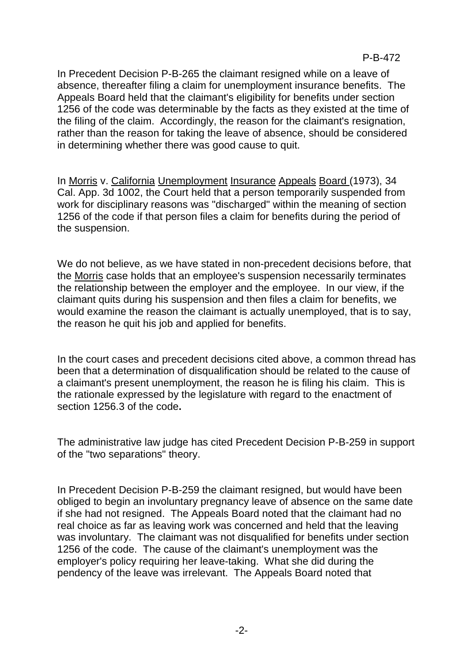In Precedent Decision P-B-265 the claimant resigned while on a leave of absence, thereafter filing a claim for unemployment insurance benefits. The Appeals Board held that the claimant's eligibility for benefits under section 1256 of the code was determinable by the facts as they existed at the time of the filing of the claim. Accordingly, the reason for the claimant's resignation, rather than the reason for taking the leave of absence, should be considered in determining whether there was good cause to quit.

In Morris v. California Unemployment Insurance Appeals Board (1973), 34 Cal. App. 3d 1002, the Court held that a person temporarily suspended from work for disciplinary reasons was "discharged" within the meaning of section 1256 of the code if that person files a claim for benefits during the period of the suspension.

We do not believe, as we have stated in non-precedent decisions before, that the Morris case holds that an employee's suspension necessarily terminates the relationship between the employer and the employee. In our view, if the claimant quits during his suspension and then files a claim for benefits, we would examine the reason the claimant is actually unemployed, that is to say, the reason he quit his job and applied for benefits.

In the court cases and precedent decisions cited above, a common thread has been that a determination of disqualification should be related to the cause of a claimant's present unemployment, the reason he is filing his claim. This is the rationale expressed by the legislature with regard to the enactment of section 1256.3 of the code**.**

The administrative law judge has cited Precedent Decision P-B-259 in support of the "two separations" theory.

In Precedent Decision P-B-259 the claimant resigned, but would have been obliged to begin an involuntary pregnancy leave of absence on the same date if she had not resigned. The Appeals Board noted that the claimant had no real choice as far as leaving work was concerned and held that the leaving was involuntary. The claimant was not disqualified for benefits under section 1256 of the code. The cause of the claimant's unemployment was the employer's policy requiring her leave-taking. What she did during the pendency of the leave was irrelevant. The Appeals Board noted that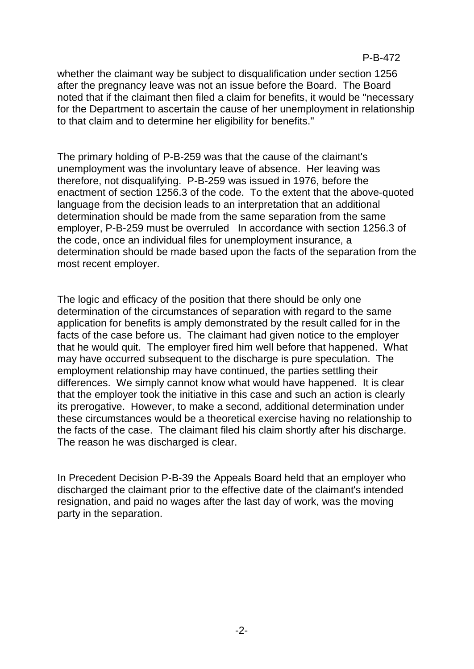#### P-B-472

whether the claimant way be subject to disqualification under section 1256 after the pregnancy leave was not an issue before the Board. The Board noted that if the claimant then filed a claim for benefits, it would be "necessary for the Department to ascertain the cause of her unemployment in relationship to that claim and to determine her eligibility for benefits."

The primary holding of P-B-259 was that the cause of the claimant's unemployment was the involuntary leave of absence. Her leaving was therefore, not disqualifying. P-B-259 was issued in 1976, before the enactment of section 1256.3 of the code. To the extent that the above-quoted language from the decision leads to an interpretation that an additional determination should be made from the same separation from the same employer, P-B-259 must be overruled In accordance with section 1256.3 of the code, once an individual files for unemployment insurance, a determination should be made based upon the facts of the separation from the most recent employer.

The logic and efficacy of the position that there should be only one determination of the circumstances of separation with regard to the same application for benefits is amply demonstrated by the result called for in the facts of the case before us. The claimant had given notice to the employer that he would quit. The employer fired him well before that happened. What may have occurred subsequent to the discharge is pure speculation. The employment relationship may have continued, the parties settling their differences. We simply cannot know what would have happened. It is clear that the employer took the initiative in this case and such an action is clearly its prerogative. However, to make a second, additional determination under these circumstances would be a theoretical exercise having no relationship to the facts of the case. The claimant filed his claim shortly after his discharge. The reason he was discharged is clear.

In Precedent Decision P-B-39 the Appeals Board held that an employer who discharged the claimant prior to the effective date of the claimant's intended resignation, and paid no wages after the last day of work, was the moving party in the separation.